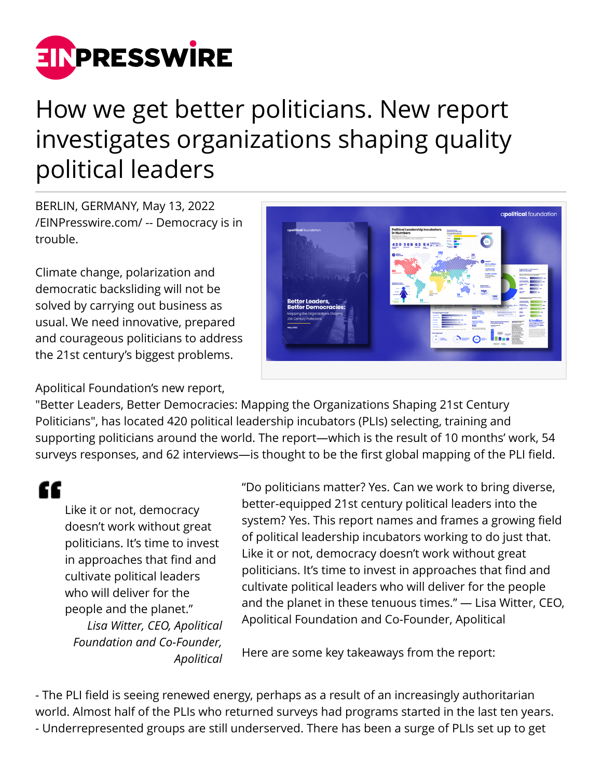

## How we get better politicians. New report investigates organizations shaping quality political leaders

BERLIN, GERMANY, May 13, 2022 [/EINPresswire.com/](http://www.einpresswire.com) -- Democracy is in trouble.

Climate change, polarization and democratic backsliding will not be solved by carrying out business as usual. We need innovative, prepared and courageous politicians to address the 21st century's biggest problems.



## Apolitical Foundation's new report,

"Better Leaders, Better Democracies: Mapping the Organizations Shaping 21st Century Politicians", has located 420 political leadership incubators (PLIs) selecting, training and supporting politicians around the world. The report—which is the result of 10 months' work, 54 surveys responses, and 62 interviews—is thought to be the first global mapping of the PLI field.

"

Like it or not, democracy doesn't work without great politicians. It's time to invest in approaches that find and cultivate political leaders who will deliver for the people and the planet." *Lisa Witter, CEO, Apolitical Foundation and Co-Founder, Apolitical* "Do politicians matter? Yes. Can we work to bring diverse, better-equipped 21st century political leaders into the system? Yes. This report names and frames a growing field of political leadership incubators working to do just that. Like it or not, democracy doesn't work without great politicians. It's time to invest in approaches that find and cultivate political leaders who will deliver for the people and the planet in these tenuous times." — Lisa Witter, CEO, Apolitical Foundation and Co-Founder, Apolitical

Here are some key takeaways from the report:

- The PLI field is seeing renewed energy, perhaps as a result of an increasingly authoritarian world. Almost half of the PLIs who returned surveys had programs started in the last ten years. - Underrepresented groups are still underserved. There has been a surge of PLIs set up to get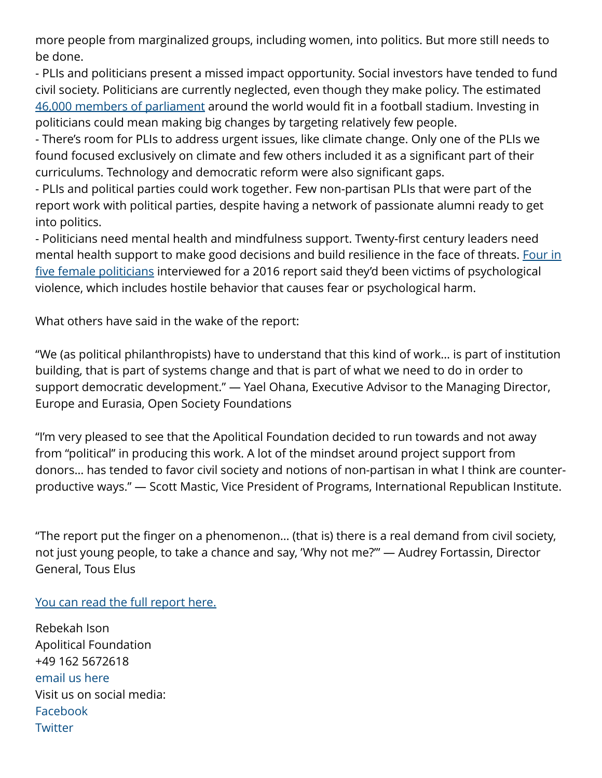more people from marginalized groups, including women, into politics. But more still needs to be done.

- PLIs and politicians present a missed impact opportunity. Social investors have tended to fund civil society. Politicians are currently neglected, even though they make policy. The estimated [46,000 members of parliament](https://www.ipu.org/national-parliaments) around the world would fit in a football stadium. Investing in politicians could mean making big changes by targeting relatively few people.

- There's room for PLIs to address urgent issues, like climate change. Only one of the PLIs we found focused exclusively on climate and few others included it as a significant part of their curriculums. Technology and democratic reform were also significant gaps.

- PLIs and political parties could work together. Few non-partisan PLIs that were part of the report work with political parties, despite having a network of passionate alumni ready to get into politics.

- Politicians need mental health and mindfulness support. Twenty-first century leaders need mental health support to make good decisions and build resilience in the face of threats. [Four in](http://archive.ipu.org/pdf/publications/issuesbrief-e.pdf) [five female politicians](http://archive.ipu.org/pdf/publications/issuesbrief-e.pdf) interviewed for a 2016 report said they'd been victims of psychological violence, which includes hostile behavior that causes fear or psychological harm.

What others have said in the wake of the report:

"We (as political philanthropists) have to understand that this kind of work… is part of institution building, that is part of systems change and that is part of what we need to do in order to support democratic development." — Yael Ohana, Executive Advisor to the Managing Director, Europe and Eurasia, Open Society Foundations

"I'm very pleased to see that the Apolitical Foundation decided to run towards and not away from "political" in producing this work. A lot of the mindset around project support from donors… has tended to favor civil society and notions of non-partisan in what I think are counterproductive ways." — Scott Mastic, Vice President of Programs, International Republican Institute.

"The report put the finger on a phenomenon… (that is) there is a real demand from civil society, not just young people, to take a chance and say, 'Why not me?'" — Audrey Fortassin, Director General, Tous Elus

[You can read the full report here.](https://apolitical.foundation/better-leaders-better-democracies)

Rebekah Ison Apolitical Foundation +49 162 5672618 [email us here](http://www.einpresswire.com/contact_author/3484256) Visit us on social media: [Facebook](https://www.facebook.com/apoliticalfoundation) **[Twitter](https://twitter.com/ApoliticalFound)**